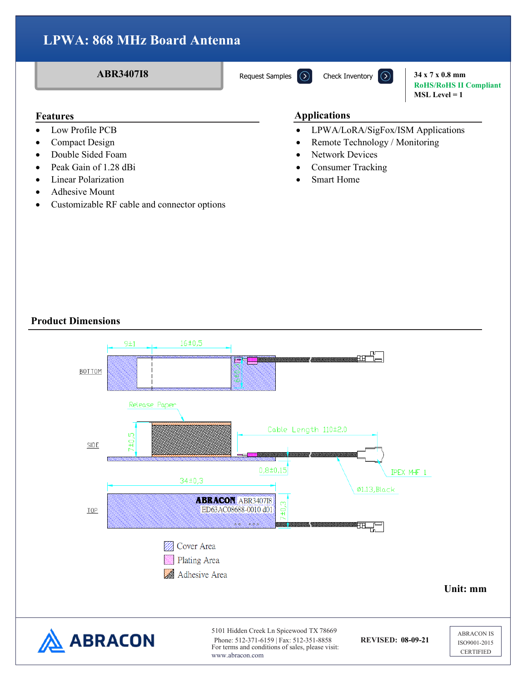**ABR3407I8 34 x 7 x 0.8 mm RoHS/RoHS II Compliant MSL Level = 1**

- Low Profile PCB
- Compact Design
- Double Sided Foam
- Peak Gain of 1.28 dBi
- Linear Polarization
- Adhesive Mount
- Customizable RF cable and connector options

#### **Features Applications**

- LPWA/LoRA/SigFox/ISM Applications
- Remote Technology / Monitoring
- Network Devices
- Consumer Tracking
- **Smart Home**

### **Product Dimensions**

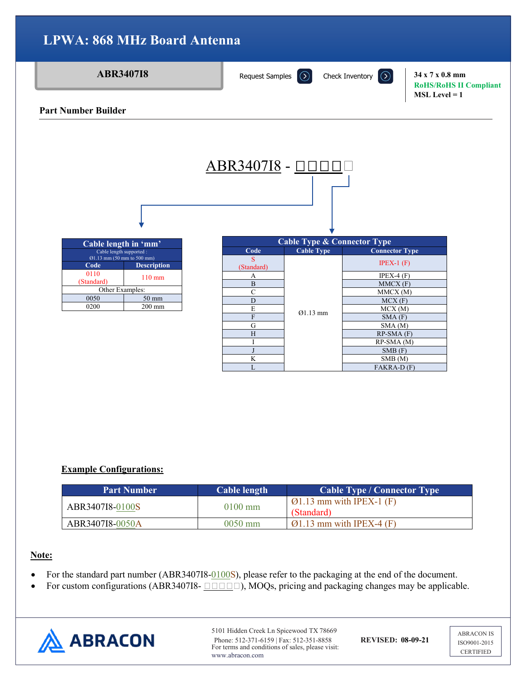

## **Example Configurations:**

| <b>Part Number</b> | Cable length | Cable Type / Connector Type                         |  |  |  |  |
|--------------------|--------------|-----------------------------------------------------|--|--|--|--|
| ABR3407I8-0100S    | $0100$ mm    | $\varnothing$ 1.13 mm with IPEX-1 (F)<br>(Standard) |  |  |  |  |
| ABR3407I8-0050A    | $0050$ mm    | $\varnothing$ 1.13 mm with IPEX-4 (F)               |  |  |  |  |

### **Note:**

- For the standard part number (ABR3407I8-0100S), please refer to the packaging at the end of the document.
- For custom configurations (ABR3407I8- $\Box$  $\Box$  $\Box$ ), MOQs, pricing and packaging changes may be applicable.



5101 Hidden Creek Ln Spicewood TX 78669 Phone: 512-371-6159 | Fax: 512-351-8858 **REVISED: 08-09-21** For terms and conditions of sales, please visit: www.abracon.com

ABRACON IS ISO9001-2015 **CERTIFIED**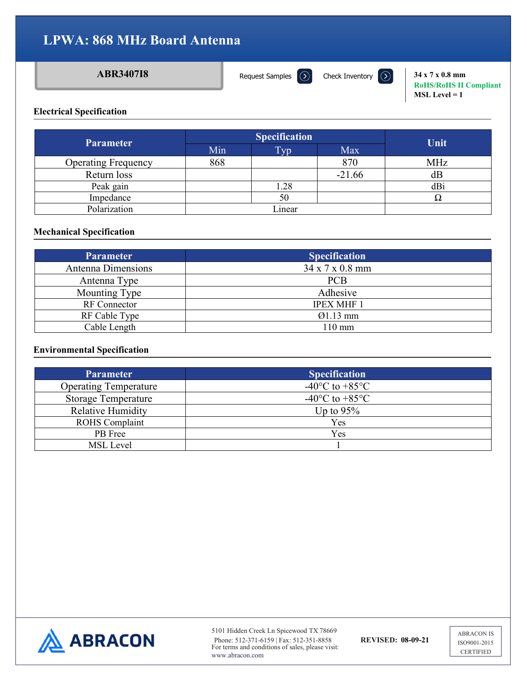[Request Samples](https://www.abraconlink.com/samplelink/samplerequest.php)  $\Omega$ 

**ABR3407I8 34 x 7 x 0.8 mm**<br>**34 x 7 x 0.8 mm RoHS/RoHS II Compliant MSL Level = 1**

#### **Electrical Specification**

| <b>Parameter</b>           |     | <b>Specification</b> | Unit       |          |
|----------------------------|-----|----------------------|------------|----------|
|                            | Min | Typ.                 | <b>Max</b> |          |
| <b>Operating Frequency</b> | 868 |                      | 870        | MHz      |
| Return loss                |     |                      | $-21.66$   | dВ       |
| Peak gain                  |     | 1.28                 |            | dBi      |
| Impedance                  |     | 50                   |            | $\Omega$ |
| Polarization               |     | Linear               |            |          |

#### **Mechanical Specification**

| <b>Parameter</b>    | <b>Specification</b> |
|---------------------|----------------------|
| Antenna Dimensions  | 34 x 7 x 0.8 mm      |
| Antenna Type        | <b>PCB</b>           |
| Mounting Type       | Adhesive             |
| <b>RF</b> Connector | <b>IPEX MHF 1</b>    |
| RF Cable Type       | $Q1.13$ mm           |
| Cable Length        | 110 mm               |

#### **Environmental Specification**

| <b>Parameter</b>             | <b>Specification</b>                         |
|------------------------------|----------------------------------------------|
| <b>Operating Temperature</b> | -40 $\rm{^{\circ}C}$ to +85 $\rm{^{\circ}C}$ |
| <b>Storage Temperature</b>   | -40 $\rm ^{\circ}C$ to +85 $\rm ^{\circ}C$   |
| <b>Relative Humidity</b>     | Up to $95\%$                                 |
| <b>ROHS</b> Complaint        | Yes                                          |
| PB Free                      | Yes                                          |
| <b>MSL</b> Level             |                                              |



5101 Hidden Creek Ln Spicewood TX 78669 Phone: 512-371-6159 | Fax: 512-351-8858 **REVISED: 08-09-21** For terms and conditions of sales, please visit: www.abracon.com

ABRACON IS ISO9001-2015 **CERTIFIED**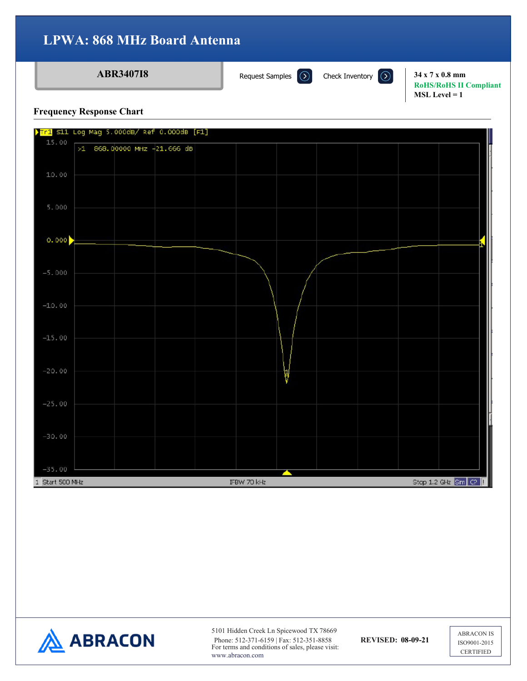### **ABR3407I8 34 x 7 x 0.8 mm**<br>**34 x 7 x 0.8 mm**

[Request Samples](https://www.abraconlink.com/samplelink/samplerequest.php)  $\Omega$ 

**RoHS/RoHS II Compliant MSL Level = 1**

#### **Frequency Response Chart**





5101 Hidden Creek Ln Spicewood TX 78669 Phone: 512-371-6159 | Fax: 512-351-8858 **REVISED: 08-09-21** For terms and conditions of sales, please visit: www.abracon.com

ABRACON IS ISO9001-2015 **CERTIFIED**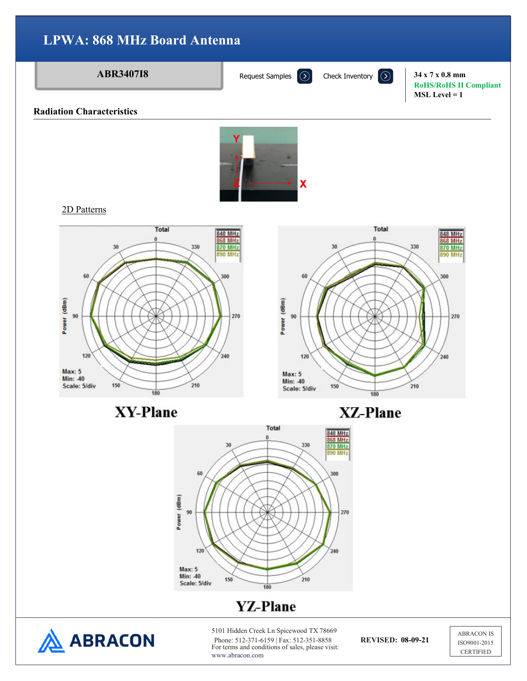**ABR3407I8 34 x 7 x 0.8 mm** 

**RoHS/RoHS II Compliant MSL Level = 1**

#### **Radiation Characteristics**



2D Patterns

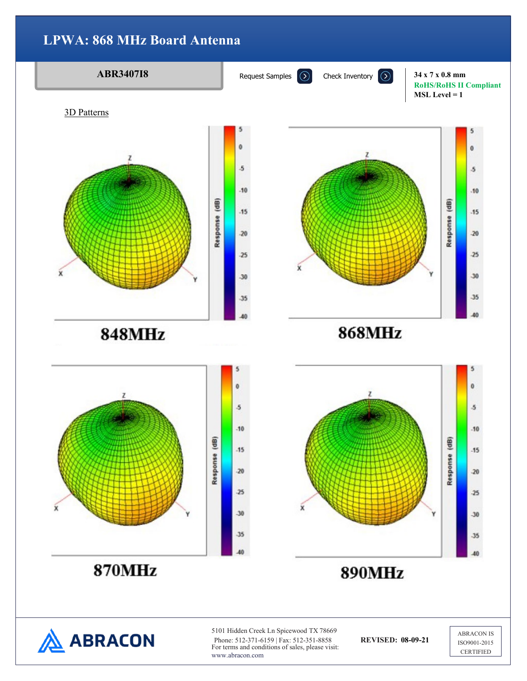

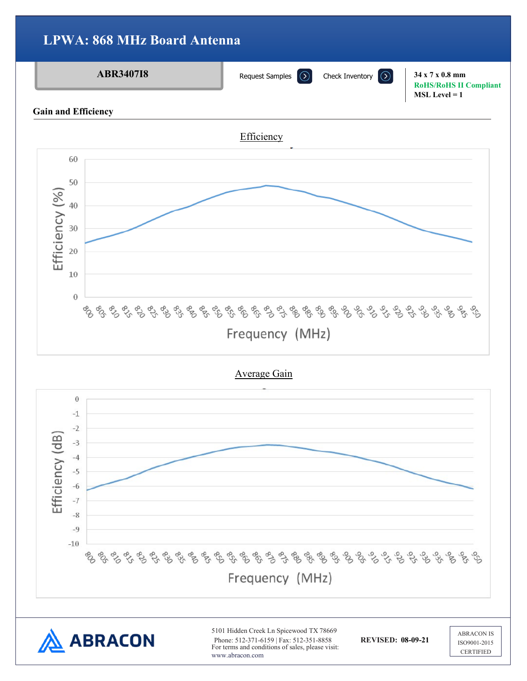